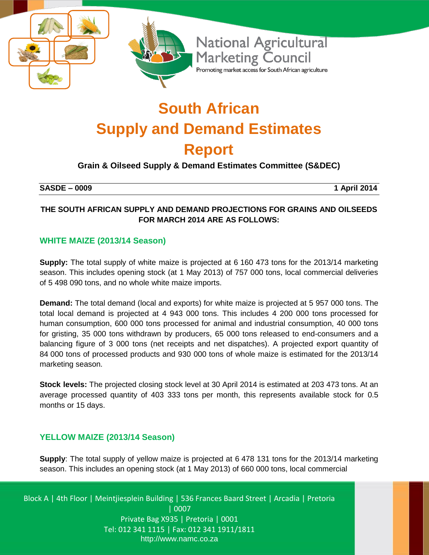

# **South African Supply and Demand Estimates Report**

# **Grain & Oilseed Supply & Demand Estimates Committee (S&DEC)**

#### **SASDE – 0009 1 April 2014**

#### **THE SOUTH AFRICAN SUPPLY AND DEMAND PROJECTIONS FOR GRAINS AND OILSEEDS FOR MARCH 2014 ARE AS FOLLOWS:**

#### **WHITE MAIZE (2013/14 Season)**

**Supply:** The total supply of white maize is projected at 6 160 473 tons for the 2013/14 marketing season. This includes opening stock (at 1 May 2013) of 757 000 tons, local commercial deliveries of 5 498 090 tons, and no whole white maize imports.

**Demand:** The total demand (local and exports) for white maize is projected at 5 957 000 tons. The total local demand is projected at 4 943 000 tons. This includes 4 200 000 tons processed for human consumption, 600 000 tons processed for animal and industrial consumption, 40 000 tons for gristing, 35 000 tons withdrawn by producers, 65 000 tons released to end-consumers and a balancing figure of 3 000 tons (net receipts and net dispatches). A projected export quantity of 84 000 tons of processed products and 930 000 tons of whole maize is estimated for the 2013/14 marketing season.

**Stock levels:** The projected closing stock level at 30 April 2014 is estimated at 203 473 tons. At an average processed quantity of 403 333 tons per month, this represents available stock for 0.5 months or 15 days.

#### **YELLOW MAIZE (2013/14 Season)**

**Supply**: The total supply of yellow maize is projected at 6 478 131 tons for the 2013/14 marketing season. This includes an opening stock (at 1 May 2013) of 660 000 tons, local commercial

Block A | 4th Floor | Meintjiesplein Building | 536 Frances Baard Street | Arcadia | Pretoria | 0007 Private Bag X935 | Pretoria | 0001 Tel: 012 341 1115 | Fax: 012 341 1911/1811 http://www.namc.co.za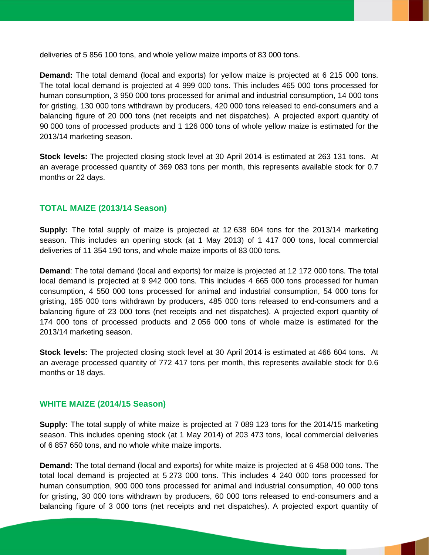deliveries of 5 856 100 tons, and whole yellow maize imports of 83 000 tons.

**Demand:** The total demand (local and exports) for yellow maize is projected at 6 215 000 tons. The total local demand is projected at 4 999 000 tons. This includes 465 000 tons processed for human consumption, 3 950 000 tons processed for animal and industrial consumption, 14 000 tons for gristing, 130 000 tons withdrawn by producers, 420 000 tons released to end-consumers and a balancing figure of 20 000 tons (net receipts and net dispatches). A projected export quantity of 90 000 tons of processed products and 1 126 000 tons of whole yellow maize is estimated for the 2013/14 marketing season.

**Stock levels:** The projected closing stock level at 30 April 2014 is estimated at 263 131 tons. At an average processed quantity of 369 083 tons per month, this represents available stock for 0.7 months or 22 days.

#### **TOTAL MAIZE (2013/14 Season)**

**Supply:** The total supply of maize is projected at 12 638 604 tons for the 2013/14 marketing season. This includes an opening stock (at 1 May 2013) of 1 417 000 tons, local commercial deliveries of 11 354 190 tons, and whole maize imports of 83 000 tons.

**Demand**: The total demand (local and exports) for maize is projected at 12 172 000 tons. The total local demand is projected at 9 942 000 tons. This includes 4 665 000 tons processed for human consumption, 4 550 000 tons processed for animal and industrial consumption, 54 000 tons for gristing, 165 000 tons withdrawn by producers, 485 000 tons released to end-consumers and a balancing figure of 23 000 tons (net receipts and net dispatches). A projected export quantity of 174 000 tons of processed products and 2 056 000 tons of whole maize is estimated for the 2013/14 marketing season.

**Stock levels:** The projected closing stock level at 30 April 2014 is estimated at 466 604 tons. At an average processed quantity of 772 417 tons per month, this represents available stock for 0.6 months or 18 days.

#### **WHITE MAIZE (2014/15 Season)**

**Supply:** The total supply of white maize is projected at 7 089 123 tons for the 2014/15 marketing season. This includes opening stock (at 1 May 2014) of 203 473 tons, local commercial deliveries of 6 857 650 tons, and no whole white maize imports.

**Demand:** The total demand (local and exports) for white maize is projected at 6 458 000 tons. The total local demand is projected at 5 273 000 tons. This includes 4 240 000 tons processed for human consumption, 900 000 tons processed for animal and industrial consumption, 40 000 tons for gristing, 30 000 tons withdrawn by producers, 60 000 tons released to end-consumers and a balancing figure of 3 000 tons (net receipts and net dispatches). A projected export quantity of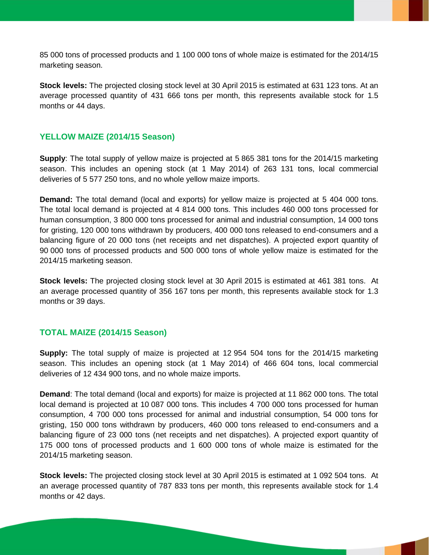85 000 tons of processed products and 1 100 000 tons of whole maize is estimated for the 2014/15 marketing season.

**Stock levels:** The projected closing stock level at 30 April 2015 is estimated at 631 123 tons. At an average processed quantity of 431 666 tons per month, this represents available stock for 1.5 months or 44 days.

#### **YELLOW MAIZE (2014/15 Season)**

**Supply**: The total supply of yellow maize is projected at 5 865 381 tons for the 2014/15 marketing season. This includes an opening stock (at 1 May 2014) of 263 131 tons, local commercial deliveries of 5 577 250 tons, and no whole yellow maize imports.

**Demand:** The total demand (local and exports) for yellow maize is projected at 5 404 000 tons. The total local demand is projected at 4 814 000 tons. This includes 460 000 tons processed for human consumption, 3 800 000 tons processed for animal and industrial consumption, 14 000 tons for gristing, 120 000 tons withdrawn by producers, 400 000 tons released to end-consumers and a balancing figure of 20 000 tons (net receipts and net dispatches). A projected export quantity of 90 000 tons of processed products and 500 000 tons of whole yellow maize is estimated for the 2014/15 marketing season.

**Stock levels:** The projected closing stock level at 30 April 2015 is estimated at 461 381 tons. At an average processed quantity of 356 167 tons per month, this represents available stock for 1.3 months or 39 days.

#### **TOTAL MAIZE (2014/15 Season)**

**Supply:** The total supply of maize is projected at 12 954 504 tons for the 2014/15 marketing season. This includes an opening stock (at 1 May 2014) of 466 604 tons, local commercial deliveries of 12 434 900 tons, and no whole maize imports.

**Demand**: The total demand (local and exports) for maize is projected at 11 862 000 tons. The total local demand is projected at 10 087 000 tons. This includes 4 700 000 tons processed for human consumption, 4 700 000 tons processed for animal and industrial consumption, 54 000 tons for gristing, 150 000 tons withdrawn by producers, 460 000 tons released to end-consumers and a balancing figure of 23 000 tons (net receipts and net dispatches). A projected export quantity of 175 000 tons of processed products and 1 600 000 tons of whole maize is estimated for the 2014/15 marketing season.

**Stock levels:** The projected closing stock level at 30 April 2015 is estimated at 1 092 504 tons. At an average processed quantity of 787 833 tons per month, this represents available stock for 1.4 months or 42 days.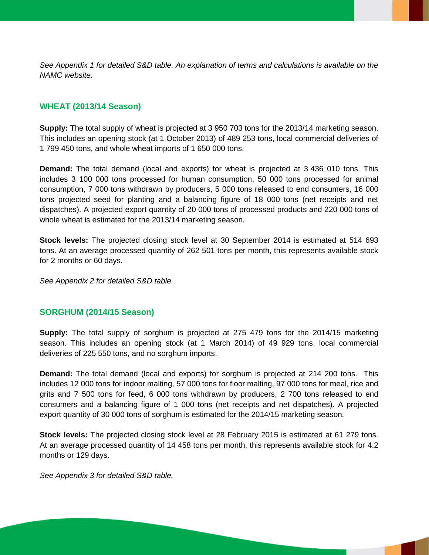*See Appendix 1 for detailed S&D table. An explanation of terms and calculations is available on the NAMC website.*

# **WHEAT (2013/14 Season)**

**Supply:** The total supply of wheat is projected at 3 950 703 tons for the 2013/14 marketing season. This includes an opening stock (at 1 October 2013) of 489 253 tons, local commercial deliveries of 1 799 450 tons, and whole wheat imports of 1 650 000 tons.

**Demand:** The total demand (local and exports) for wheat is projected at 3 436 010 tons. This includes 3 100 000 tons processed for human consumption, 50 000 tons processed for animal consumption, 7 000 tons withdrawn by producers, 5 000 tons released to end consumers, 16 000 tons projected seed for planting and a balancing figure of 18 000 tons (net receipts and net dispatches). A projected export quantity of 20 000 tons of processed products and 220 000 tons of whole wheat is estimated for the 2013/14 marketing season.

**Stock levels:** The projected closing stock level at 30 September 2014 is estimated at 514 693 tons. At an average processed quantity of 262 501 tons per month, this represents available stock for 2 months or 60 days.

*See Appendix 2 for detailed S&D table.*

#### **SORGHUM (2014/15 Season)**

**Supply:** The total supply of sorghum is projected at 275 479 tons for the 2014/15 marketing season. This includes an opening stock (at 1 March 2014) of 49 929 tons, local commercial deliveries of 225 550 tons, and no sorghum imports.

**Demand:** The total demand (local and exports) for sorghum is projected at 214 200 tons. This includes 12 000 tons for indoor malting, 57 000 tons for floor malting, 97 000 tons for meal, rice and grits and 7 500 tons for feed, 6 000 tons withdrawn by producers, 2 700 tons released to end consumers and a balancing figure of 1 000 tons (net receipts and net dispatches). A projected export quantity of 30 000 tons of sorghum is estimated for the 2014/15 marketing season.

**Stock levels:** The projected closing stock level at 28 February 2015 is estimated at 61 279 tons. At an average processed quantity of 14 458 tons per month, this represents available stock for 4.2 months or 129 days.

*See Appendix 3 for detailed S&D table.*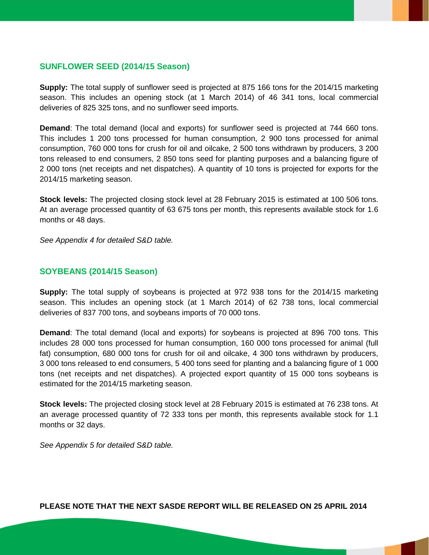### **SUNFLOWER SEED (2014/15 Season)**

**Supply:** The total supply of sunflower seed is projected at 875 166 tons for the 2014/15 marketing season. This includes an opening stock (at 1 March 2014) of 46 341 tons, local commercial deliveries of 825 325 tons, and no sunflower seed imports.

**Demand**: The total demand (local and exports) for sunflower seed is projected at 744 660 tons. This includes 1 200 tons processed for human consumption, 2 900 tons processed for animal consumption, 760 000 tons for crush for oil and oilcake, 2 500 tons withdrawn by producers, 3 200 tons released to end consumers, 2 850 tons seed for planting purposes and a balancing figure of 2 000 tons (net receipts and net dispatches). A quantity of 10 tons is projected for exports for the 2014/15 marketing season.

**Stock levels:** The projected closing stock level at 28 February 2015 is estimated at 100 506 tons. At an average processed quantity of 63 675 tons per month, this represents available stock for 1.6 months or 48 days.

*See Appendix 4 for detailed S&D table.*

#### **SOYBEANS (2014/15 Season)**

**Supply:** The total supply of soybeans is projected at 972 938 tons for the 2014/15 marketing season. This includes an opening stock (at 1 March 2014) of 62 738 tons, local commercial deliveries of 837 700 tons, and soybeans imports of 70 000 tons.

**Demand**: The total demand (local and exports) for soybeans is projected at 896 700 tons. This includes 28 000 tons processed for human consumption, 160 000 tons processed for animal (full fat) consumption, 680 000 tons for crush for oil and oilcake, 4 300 tons withdrawn by producers, 3 000 tons released to end consumers, 5 400 tons seed for planting and a balancing figure of 1 000 tons (net receipts and net dispatches). A projected export quantity of 15 000 tons soybeans is estimated for the 2014/15 marketing season.

**Stock levels:** The projected closing stock level at 28 February 2015 is estimated at 76 238 tons. At an average processed quantity of 72 333 tons per month, this represents available stock for 1.1 months or 32 days.

*See Appendix 5 for detailed S&D table.*

**PLEASE NOTE THAT THE NEXT SASDE REPORT WILL BE RELEASED ON 25 APRIL 2014**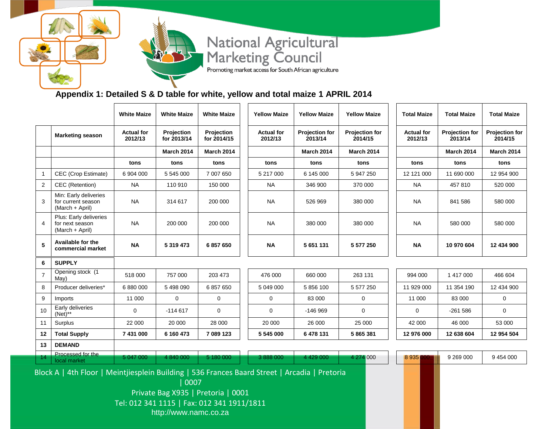# National Agricultural<br>Marketing Council Promoting market access for South African agriculture

# **Appendix 1: Detailed S & D table for white, yellow and total maize 1 APRIL 2014**

|                |                                                                                                                                             | <b>White Maize</b>           | <b>White Maize</b>        | <b>White Maize</b>        | <b>Yellow Maize</b>          | <b>Yellow Maize</b>       | <b>Yellow Maize</b>              | <b>Total Maize</b>           | <b>Total Maize</b>        | <b>Total Maize</b>        |
|----------------|---------------------------------------------------------------------------------------------------------------------------------------------|------------------------------|---------------------------|---------------------------|------------------------------|---------------------------|----------------------------------|------------------------------|---------------------------|---------------------------|
|                | <b>Marketing season</b>                                                                                                                     | <b>Actual for</b><br>2012/13 | Projection<br>for 2013/14 | Projection<br>for 2014/15 | <b>Actual for</b><br>2012/13 | Projection for<br>2013/14 | <b>Projection for</b><br>2014/15 | <b>Actual for</b><br>2012/13 | Projection for<br>2013/14 | Projection for<br>2014/15 |
|                |                                                                                                                                             |                              | <b>March 2014</b>         | <b>March 2014</b>         |                              | <b>March 2014</b>         | <b>March 2014</b>                |                              | <b>March 2014</b>         | <b>March 2014</b>         |
|                |                                                                                                                                             | tons                         | tons                      | tons                      | tons                         | tons                      | tons                             | tons                         | tons                      | tons                      |
| $\mathbf{1}$   | CEC (Crop Estimate)                                                                                                                         | 6 904 000                    | 5 545 000                 | 7 007 650                 | 5 217 000                    | 6 145 000                 | 5 947 250                        | 12 121 000                   | 11 690 000                | 12 954 900                |
| 2              | CEC (Retention)                                                                                                                             | <b>NA</b>                    | 110 910                   | 150 000                   | <b>NA</b>                    | 346 900                   | 370 000                          | <b>NA</b>                    | 457 810                   | 520 000                   |
| 3              | Min: Early deliveries<br>for current season<br>(March + April)                                                                              | <b>NA</b>                    | 314 617                   | 200 000                   | <b>NA</b>                    | 526 969                   | 380 000                          | NA.                          | 841 586                   | 580 000                   |
| 4              | Plus: Early deliveries<br>for next season<br>(March + April)                                                                                | <b>NA</b>                    | 200 000                   | 200 000                   | <b>NA</b>                    | 380 000                   | 380 000                          | <b>NA</b>                    | 580 000                   | 580 000                   |
| 5              | Available for the<br>commercial market                                                                                                      | <b>NA</b>                    | 5 319 473                 | 6857650                   | <b>NA</b>                    | 5 651 131                 | 5 577 250                        | <b>NA</b>                    | 10 970 604                | 12 434 900                |
| 6              | <b>SUPPLY</b>                                                                                                                               |                              |                           |                           |                              |                           |                                  |                              |                           |                           |
| $\overline{7}$ | Opening stock (1<br>May)                                                                                                                    | 518 000                      | 757 000                   | 203 473                   | 476 000                      | 660 000                   | 263 131                          | 994 000                      | 1 417 000                 | 466 604                   |
| 8              | Producer deliveries*                                                                                                                        | 6 880 000                    | 5 498 090                 | 6857650                   | 5 049 000                    | 5856100                   | 5 577 250                        | 11 929 000                   | 11 354 190                | 12 434 900                |
| 9              | Imports                                                                                                                                     | 11 000                       | $\mathbf 0$               | 0                         | 0                            | 83 000                    | $\mathbf 0$                      | 11 000                       | 83 000                    | 0                         |
| 10             | Early deliveries<br>$(Net)$ **                                                                                                              | 0                            | $-114617$                 | 0                         | 0                            | -146 969                  | 0                                | 0                            | -261 586                  | $\mathbf 0$               |
| 11             | Surplus                                                                                                                                     | 22 000                       | 20 000                    | 28 000                    | 20 000                       | 26 000                    | 25 000                           | 42 000                       | 46 000                    | 53 000                    |
| 12             | <b>Total Supply</b>                                                                                                                         | 7 431 000                    | 6 160 473                 | 7 089 123                 | 5 545 000                    | 6478131                   | 5 865 381                        | 12 976 000                   | 12 638 604                | 12 954 504                |
| 13             | <b>DEMAND</b>                                                                                                                               |                              |                           |                           |                              |                           |                                  |                              |                           |                           |
| 14             | Processed for the<br>local market                                                                                                           | 5 047 000                    | 4 840 000                 | 5 180 000                 | 3 888 000                    | 4 4 29 0 00               | 4 274 000                        | 8935                         | 9 269 000                 | 9 454 000                 |
|                | Block A   4th Floor   Meintjiesplein Building   536 Frances Baard Street   Arcadia   Pretoria<br>0007<br>Private Bag X935   Pretoria   0001 |                              |                           |                           |                              |                           |                                  |                              |                           |                           |

Tel: 012 341 1115 | Fax: 012 341 1911/1811

http://www.namc.co.za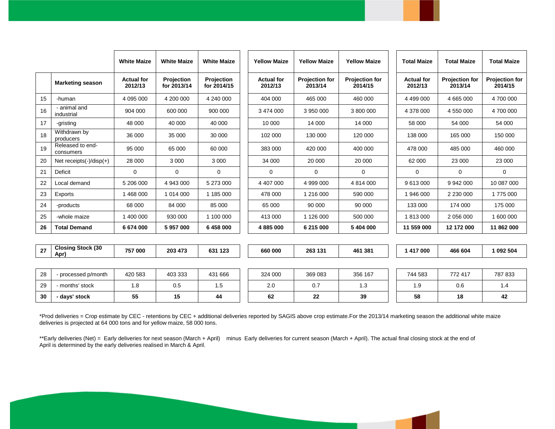|    |                                  | <b>White Maize</b>           | <b>White Maize</b>        | <b>White Maize</b>        | <b>Yellow Maize</b>          | <b>Yellow Maize</b>              | <b>Yellow Maize</b>              | <b>Total Maize</b>           | <b>Total Maize</b>               | <b>Total Maize</b>               |
|----|----------------------------------|------------------------------|---------------------------|---------------------------|------------------------------|----------------------------------|----------------------------------|------------------------------|----------------------------------|----------------------------------|
|    | <b>Marketing season</b>          | <b>Actual for</b><br>2012/13 | Projection<br>for 2013/14 | Projection<br>for 2014/15 | <b>Actual for</b><br>2012/13 | <b>Projection for</b><br>2013/14 | <b>Projection for</b><br>2014/15 | <b>Actual for</b><br>2012/13 | <b>Projection for</b><br>2013/14 | <b>Projection for</b><br>2014/15 |
| 15 | -human                           | 4 095 000                    | 4 200 000                 | 4 240 000                 | 404 000                      | 465 000                          | 460 000                          | 4 499 000                    | 4 665 000                        | 4700000                          |
| 16 | - animal and<br>industrial       | 904 000                      | 600 000                   | 900 000                   | 3 474 000                    | 3 950 000                        | 3 800 000                        | 4 378 000                    | 4 550 000                        | 4700 000                         |
| 17 | -gristing                        | 48 000                       | 40 000                    | 40 000                    | 10 000                       | 14 000                           | 14 000                           | 58 000                       | 54 000                           | 54 000                           |
| 18 | Withdrawn by<br>producers        | 36 000                       | 35 000                    | 30 000                    | 102 000                      | 130 000                          | 120 000                          | 138 000                      | 165 000                          | 150 000                          |
| 19 | Released to end-<br>consumers    | 95 000                       | 65 000                    | 60 000                    | 383 000                      | 420 000                          | 400 000                          | 478 000                      | 485 000                          | 460 000                          |
| 20 | Net receipts $(-)/$ disp $(+)$   | 28 000                       | 3 0 0 0                   | 3 0 0 0                   | 34 000                       | 20 000                           | 20 000                           | 62 000                       | 23 000                           | 23 000                           |
| 21 | Deficit                          | $\mathbf 0$                  | 0                         | $\Omega$                  | $\mathbf 0$                  | 0                                | $\Omega$                         | 0                            | 0                                | $\mathbf 0$                      |
| 22 | Local demand                     | 5 206 000                    | 4 943 000                 | 5 273 000                 | 4 407 000                    | 4 999 000                        | 4 814 000                        | 9 613 000                    | 9 942 000                        | 10 087 000                       |
| 23 | Exports                          | 1 468 000                    | 1 0 1 4 0 0 0             | 1 185 000                 | 478 000                      | 1 216 000                        | 590 000                          | 1946 000                     | 2 2 3 0 0 0 0                    | 1775 000                         |
| 24 | -products                        | 68 000                       | 84 000                    | 85 000                    | 65 000                       | 90 000                           | 90 000                           | 133 000                      | 174 000                          | 175 000                          |
| 25 | -whole maize                     | 1 400 000                    | 930 000                   | 1 100 000                 | 413 000                      | 1 126 000                        | 500 000                          | 1813000                      | 2 056 000                        | 1 600 000                        |
| 26 | <b>Total Demand</b>              | 6 674 000                    | 5957000                   | 6 458 000                 | 4 885 000                    | 6 215 000                        | 5 404 000                        | 11 559 000                   | 12 172 000                       | 11 862 000                       |
|    |                                  |                              |                           |                           |                              |                                  |                                  |                              |                                  |                                  |
| 27 | <b>Closing Stock (30</b><br>Apr) | 757 000                      | 203 473                   | 631 123                   | 660 000                      | 263 131                          | 461 381                          | 1 417 000                    | 466 604                          | 1 092 504                        |
|    |                                  |                              |                           |                           |                              |                                  |                                  |                              |                                  |                                  |
| 28 | - processed p/month              | 420 583                      | 403 333                   | 431 666                   | 324 000                      | 369 083                          | 356 167                          | 744 583                      | 772 417                          | 787 833                          |
| 29 | - months' stock                  | 1.8                          | 0.5                       | 1.5                       | 2.0                          | 0.7                              | 1.3                              | 1.9                          | 0.6                              | 1.4                              |
| 30 | - days' stock                    | 55                           | 15                        | 44                        | 62                           | 22                               | 39                               | 58                           | 18                               | 42                               |

\*Prod deliveries = Crop estimate by CEC - retentions by CEC + additional deliveries reported by SAGIS above crop estimate.For the 2013/14 marketing season the additional white maize deliveries is projected at 64 000 tons and for yellow maize, 58 000 tons.

\*\*Early deliveries (Net) = Early deliveries for next season (March + April) minus Early deliveries for current season (March + April). The actual final closing stock at the end of April is determined by the early deliveries realised in March & April.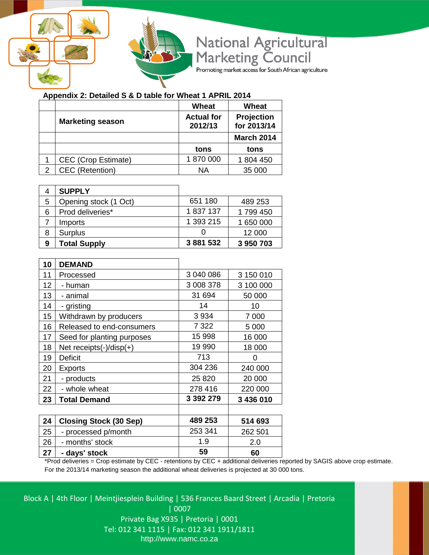



National Agricultural<br>Marketing Council

Promoting market access for South African agriculture

# **Appendix 2: Detailed S & D table for Wheat 1 APRIL 2014**

|                            | Wheat                        | Wheat                     |
|----------------------------|------------------------------|---------------------------|
| <b>Marketing season</b>    | <b>Actual for</b><br>2012/13 | Projection<br>for 2013/14 |
|                            |                              | <b>March 2014</b>         |
|                            | tons                         | tons                      |
| <b>CEC</b> (Crop Estimate) | 1870000                      | 1 804 450                 |
| <b>CEC</b> (Retention)     | ΝA                           | 35 000                    |

|   | <b>SUPPLY</b>         |           |           |
|---|-----------------------|-----------|-----------|
| 5 | Opening stock (1 Oct) | 651 180   | 489 253   |
| 6 | Prod deliveries*      | 1837137   | 1 799 450 |
|   | Imports               | 1 393 215 | 1 650 000 |
| 8 | <b>Surplus</b>        |           | 12 000    |
| 9 | <b>Total Supply</b>   | 3 881 532 | 3 950 703 |

| 10              | <b>DEMAND</b>                  |           |           |
|-----------------|--------------------------------|-----------|-----------|
| 11              | Processed                      | 3 040 086 | 3 150 010 |
| 12              | - human                        | 3 008 378 | 3 100 000 |
| 13 <sup>2</sup> | - animal                       | 31 694    | 50 000    |
| 14              | - gristing                     | 14        | 10        |
| 15              | Withdrawn by producers         | 3 9 3 4   | 7 0 0 0   |
| 16              | Released to end-consumers      | 7 3 2 2   | 5 0 0 0   |
| 17              | Seed for planting purposes     | 15 998    | 16 000    |
| 18              | Net receipts $(-)/$ disp $(+)$ | 19 990    | 18 000    |
| 19              | <b>Deficit</b>                 | 713       | O         |
| 20              | <b>Exports</b>                 | 304 236   | 240 000   |
| 21              | - products                     | 25 8 20   | 20 000    |
| 22              | - whole wheat                  | 278 416   | 220 000   |
| 23              | <b>Total Demand</b>            | 3 392 279 | 3 436 010 |
|                 |                                |           |           |
| 24              | <b>Closing Stock (30 Sep)</b>  | 489 253   | 514 693   |
| 25              | - processed p/month            | 253 341   | 262 501   |
| 26              | - months' stock                | 1.9       | 2.0       |
| 27              | - days' stock                  | 59        | 60        |

\*Prod deliveries = Crop estimate by CEC - retentions by CEC + additional deliveries reported by SAGIS above crop estimate. For the 2013/14 marketing season the additional wheat deliveries is projected at 30 000 tons.

Block A | 4th Floor | Meintjiesplein Building | 536 Frances Baard Street | Arcadia | Pretoria | 0007 Private Bag X935 | Pretoria | 0001 Tel: 012 341 1115 | Fax: 012 341 1911/1811 http://www.namc.co.za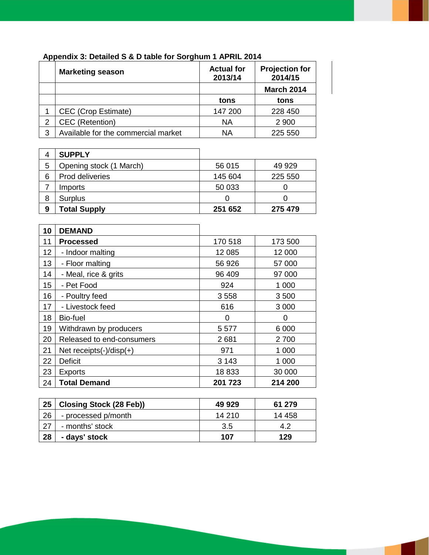|   | <b>Marketing season</b>             | <b>Actual for</b><br>2013/14 | <b>Projection for</b><br>2014/15 |
|---|-------------------------------------|------------------------------|----------------------------------|
|   |                                     |                              | <b>March 2014</b>                |
|   |                                     | tons                         | tons                             |
|   | <b>CEC</b> (Crop Estimate)          | 147 200                      | 228 450                          |
| 2 | <b>CEC</b> (Retention)              | <b>NA</b>                    | 2 9 0 0                          |
| 3 | Available for the commercial market | ΝA                           | 225 550                          |

# **Appendix 3: Detailed S & D table for Sorghum 1 APRIL 2014**

|   | <b>SUPPLY</b>           |         |         |
|---|-------------------------|---------|---------|
| 5 | Opening stock (1 March) | 56 015  | 49 929  |
| 6 | Prod deliveries         | 145 604 | 225 550 |
|   | Imports                 | 50 033  |         |
| 8 | <b>Surplus</b>          |         |         |
| 9 | <b>Total Supply</b>     | 251 652 | 275 479 |

| 10              | <b>DEMAND</b>                  |          |         |
|-----------------|--------------------------------|----------|---------|
| 11              | <b>Processed</b>               | 170 518  | 173 500 |
| 12 <sub>2</sub> | - Indoor malting               | 12 085   | 12 000  |
| 13              | - Floor malting                | 56 926   | 57 000  |
| 14              | - Meal, rice & grits           | 96 409   | 97 000  |
| 15              | - Pet Food                     | 924      | 1 0 0 0 |
| 16              | - Poultry feed                 | 3558     | 3500    |
| 17              | - Livestock feed               | 616      | 3 0 0 0 |
| 18              | Bio-fuel                       | $\Omega$ | 0       |
| 19              | Withdrawn by producers         | 5577     | 6 0 0 0 |
| 20              | Released to end-consumers      | 2681     | 2700    |
| 21              | Net receipts $(-)/$ disp $(+)$ | 971      | 1 0 0 0 |
| 22              | <b>Deficit</b>                 | 3 1 4 3  | 1 000   |
| 23              | <b>Exports</b>                 | 18833    | 30 000  |
| 24              | <b>Total Demand</b>            | 201 723  | 214 200 |

| 25 | <b>Closing Stock (28 Feb))</b> | 49 929 | 61 279 |
|----|--------------------------------|--------|--------|
| 26 | - processed p/month            | 14 210 | 14 458 |
|    | - months' stock                | 3.5    | 42     |
| 28 | - days' stock                  | 107    | 129    |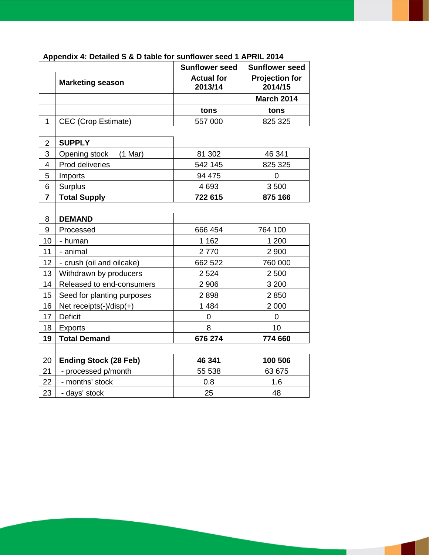|                |                                | <b>Sunflower seed</b>        | <b>Sunflower seed</b>            |
|----------------|--------------------------------|------------------------------|----------------------------------|
|                | <b>Marketing season</b>        | <b>Actual for</b><br>2013/14 | <b>Projection for</b><br>2014/15 |
|                |                                |                              | <b>March 2014</b>                |
|                |                                | tons                         | tons                             |
| $\mathbf{1}$   | CEC (Crop Estimate)            | 557 000                      | 825 325                          |
|                |                                |                              |                                  |
| $\overline{2}$ | <b>SUPPLY</b>                  |                              |                                  |
| 3              | $(1$ Mar)<br>Opening stock     | 81 302                       | 46 341                           |
| 4              | Prod deliveries                | 542 145                      | 825 325                          |
| 5              | Imports                        | 94 475                       | $\overline{0}$                   |
| 6              | <b>Surplus</b>                 | 4 6 9 3                      | 3500                             |
| $\overline{7}$ | <b>Total Supply</b>            | 722 615                      | 875 166                          |
|                |                                |                              |                                  |
| 8              | <b>DEMAND</b>                  |                              |                                  |
| 9              | Processed                      | 666 454                      | 764 100                          |
| 10             | - human                        | 1 1 6 2                      | 1 200                            |
| 11             | - animal                       | 2770                         | 2 900                            |
| 12             | - crush (oil and oilcake)      | 662 522                      | 760 000                          |
| 13             | Withdrawn by producers         | 2 5 24                       | 2 500                            |
| 14             | Released to end-consumers      | 2 9 0 6                      | 3 200                            |
| 15             | Seed for planting purposes     | 2898                         | 2850                             |
| 16             | Net receipts $(-)/$ disp $(+)$ | 1 4 8 4                      | 2 0 0 0                          |
| 17             | <b>Deficit</b>                 | 0                            | $\overline{0}$                   |
| 18             | <b>Exports</b>                 | 8                            | 10                               |
| 19             | <b>Total Demand</b>            | 676 274                      | 774 660                          |
|                |                                |                              |                                  |
| 20             | <b>Ending Stock (28 Feb)</b>   | 46 341                       | 100 506                          |
| 21             | - processed p/month            | 55 538                       | 63 675                           |
| 22             | - months' stock                | 0.8                          | 1.6                              |
| 23             | - days' stock                  | 25                           | 48                               |

#### **Appendix 4: Detailed S & D table for sunflower seed 1 APRIL 2014**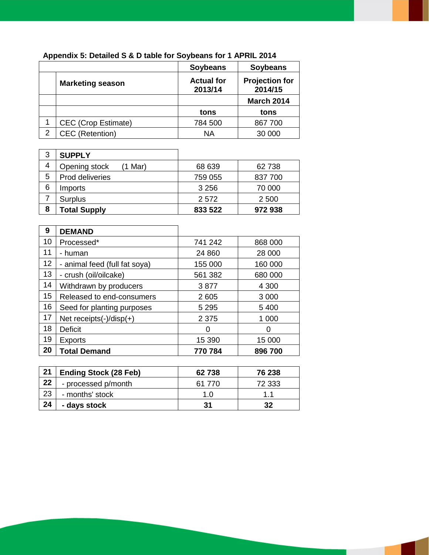|   |                            | <b>Soybeans</b>              | <b>Soybeans</b>                  |
|---|----------------------------|------------------------------|----------------------------------|
|   | <b>Marketing season</b>    | <b>Actual for</b><br>2013/14 | <b>Projection for</b><br>2014/15 |
|   |                            |                              | <b>March 2014</b>                |
|   |                            | tons                         | tons                             |
|   | <b>CEC</b> (Crop Estimate) | 784 500                      | 867 700                          |
| 2 | CEC (Retention)            | ΝA                           | 30 000                           |

# **Appendix 5: Detailed S & D table for Soybeans for 1 APRIL 2014**

| 3 | <b>SUPPLY</b>           |         |         |
|---|-------------------------|---------|---------|
| 4 | Opening stock<br>1 Mar) | 68 639  | 62 738  |
| 5 | Prod deliveries         | 759 055 | 837 700 |
| 6 | Imports                 | 3 2 5 6 | 70 000  |
|   | <b>Surplus</b>          | 2 5 7 2 | 2 500   |
| 8 | <b>Total Supply</b>     | 833 522 | 972938  |

| 9  | <b>DEMAND</b>                  |         |         |
|----|--------------------------------|---------|---------|
| 10 | Processed*                     | 741 242 | 868 000 |
| 11 | - human                        | 24 860  | 28 000  |
| 12 | - animal feed (full fat soya)  | 155 000 | 160 000 |
| 13 | - crush (oil/oilcake)          | 561 382 | 680 000 |
| 14 | Withdrawn by producers         | 3877    | 4 300   |
| 15 | Released to end-consumers      | 2 6 0 5 | 3 0 0 0 |
| 16 | Seed for planting purposes     | 5 2 9 5 | 5 4 0 0 |
| 17 | Net receipts $(-)/$ disp $(+)$ | 2 3 7 5 | 1 000   |
| 18 | Deficit                        | 0       | 0       |
| 19 | <b>Exports</b>                 | 15 390  | 15 000  |
| 20 | <b>Total Demand</b>            | 770 784 | 896 700 |

| 21 | <b>Ending Stock (28 Feb)</b> | 62738  | 76 238 |
|----|------------------------------|--------|--------|
| 22 | - processed p/month          | 61 770 | 72 333 |
| 23 | - months' stock              | 1.0    | 11     |
| 24 | - days stock                 | 31     | 32     |